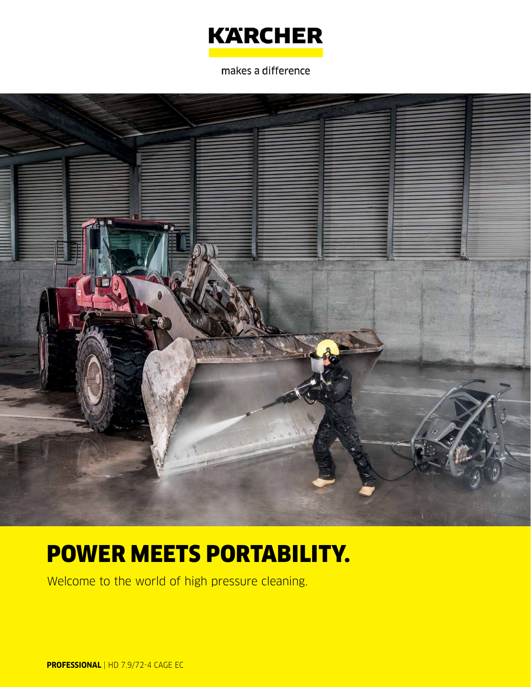

makes a difference



# POWER MEETS PORTABILITY.

Welcome to the world of high pressure cleaning.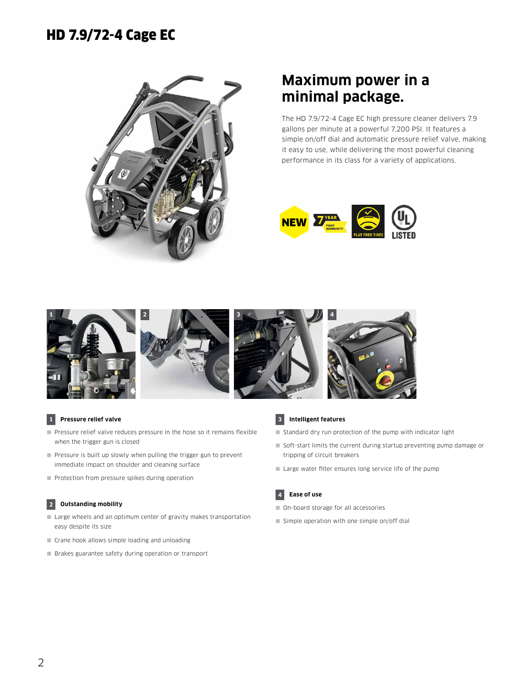

### **Maximum power in a minimal package.**

The HD 7.9/72-4 Cage EC high pressure cleaner delivers 7.9 gallons per minute at a powerful 7,200 PSI. It features a simple on/off dial and automatic pressure relief valve, making it easy to use, while delivering the most powerful cleaning performance in its class for a variety of applications.





#### **1 Pressure relief valve**

- Pressure relief valve reduces pressure in the hose so it remains flexible when the trigger gun is closed
- Pressure is built up slowly when pulling the trigger gun to prevent immediate impact on shoulder and cleaning surface
- Protection from pressure spikes during operation

#### **2 Outstanding mobility**

- Large wheels and an optimum center of gravity makes transportation easy despite its size
- Crane hook allows simple loading and unloading
- Brakes guarantee safety during operation or transport



#### **3 Intelligent features**

- Standard dry run protection of the pump with indicator light
- Soft-start limits the current during startup preventing pump damage or tripping of circuit breakers
- Large water filter ensures long service life of the pump

#### **4 Ease of use**

- On-board storage for all accessories
- $\blacksquare$  Simple operation with one simple on/off dial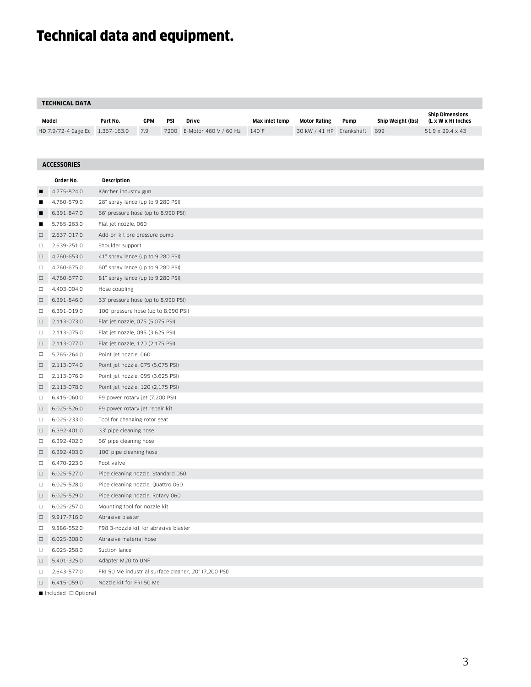## Technical data and equipment.

#### **TECHNICAL DATA**

| Model                           | Part No. | GPM | PSI | Drive                            | Max inlet temp | Motor Rating                 | Pump | Ship Weight (lbs) | <b>Ship Dimensions</b><br>(L x W x H) Inches |
|---------------------------------|----------|-----|-----|----------------------------------|----------------|------------------------------|------|-------------------|----------------------------------------------|
| HD 7.9/72-4 Cage Ec 1.367-163.0 |          | 7.9 |     | 7200 E-Motor 460 V / 60 Hz 140°F |                | 30 kW / 41 HP Crankshaft 699 |      |                   | 51.9 x 29.4 x 43                             |

| <b>ACCESSORIES</b> |             |                                                       |  |  |  |  |
|--------------------|-------------|-------------------------------------------------------|--|--|--|--|
|                    | Order No.   | <b>Description</b>                                    |  |  |  |  |
| п                  | 4.775-824.0 | Kärcher industry gun                                  |  |  |  |  |
| п                  | 4.760-679.0 | 28" spray lance (up to 9,280 PSI)                     |  |  |  |  |
| ▪                  | 6.391-847.0 | 66' pressure hose (up to 8,990 PSI)                   |  |  |  |  |
| п                  | 5.765-263.0 | Flat jet nozzle, 060                                  |  |  |  |  |
| $\Box$             | 2.637-017.0 | Add-on kit pre pressure pump                          |  |  |  |  |
| □                  | 2.639-251.0 | Shoulder support                                      |  |  |  |  |
| $\Box$             | 4.760-653.0 | 41" spray lance (up to 9,280 PSI)                     |  |  |  |  |
| $\Box$             | 4.760-675.0 | 60" spray lance (up to 9,280 PSI)                     |  |  |  |  |
| $\Box$             | 4.760-677.0 | 81" spray lance (up to 9,280 PSI)                     |  |  |  |  |
| □                  | 4.403-004.0 | Hose coupling                                         |  |  |  |  |
| $\Box$             | 6.391-846.0 | 33' pressure hose (up to 8,990 PSI)                   |  |  |  |  |
| $\Box$             | 6.391-019.0 | 100' pressure hose (up to 8,990 PSI)                  |  |  |  |  |
| $\Box$             | 2.113-073.0 | Flat jet nozzle, 075 (5,075 PSI)                      |  |  |  |  |
| □                  | 2.113-075.0 | Flat jet nozzle, 095 (3,625 PSI)                      |  |  |  |  |
| $\Box$             | 2.113-077.0 | Flat jet nozzle, 120 (2,175 PSI)                      |  |  |  |  |
| □                  | 5.765-264.0 | Point jet nozzle, 060                                 |  |  |  |  |
| $\Box$             | 2.113-074.0 | Point jet nozzle, 075 (5,075 PSI)                     |  |  |  |  |
| □                  | 2.113-076.0 | Point jet nozzle, 095 (3,625 PSI)                     |  |  |  |  |
| $\Box$             | 2.113-078.0 | Point jet nozzle, 120 (2,175 PSI)                     |  |  |  |  |
| □                  | 6.415-060.0 | F9 power rotary jet (7,200 PSI)                       |  |  |  |  |
| $\Box$             | 6.025-526.0 | F9 power rotary jet repair kit                        |  |  |  |  |
| $\Box$             | 6.025-233.0 | Tool for changing rotor seat                          |  |  |  |  |
| $\Box$             | 6.392-401.0 | 33' pipe cleaning hose                                |  |  |  |  |
| $\Box$             | 6.392-402.0 | 66' pipe cleaning hose                                |  |  |  |  |
| $\Box$             | 6.392-403.0 | 100' pipe cleaning hose                               |  |  |  |  |
| $\Box$             | 6.470-223.0 | Foot valve                                            |  |  |  |  |
| $\Box$             | 6.025-527.0 | Pipe cleaning nozzle, Standard 060                    |  |  |  |  |
| □                  | 6.025-528.0 | Pipe cleaning nozzle, Quattro 060                     |  |  |  |  |
| $\Box$             | 6.025-529.0 | Pipe cleaning nozzle, Rotary 060                      |  |  |  |  |
| $\Box$             | 6.025-257.0 | Mounting tool for nozzle kit                          |  |  |  |  |
| $\Box$             | 9.917-716.0 | Abrasive blaster                                      |  |  |  |  |
| $\Box$             | 9.886-552.0 | F98 3-nozzle kit for abrasive blaster                 |  |  |  |  |
| $\Box$             | 6.025-308.0 | Abrasive material hose                                |  |  |  |  |
| $\Box$             | 6.025-258.0 | Suction lance                                         |  |  |  |  |
| $\Box$             | 5.401-325.0 | Adapter M20 to UNF                                    |  |  |  |  |
| □                  | 2.643-577.0 | FRI 50 Me industrial surface cleaner, 20" (7,200 PSI) |  |  |  |  |
| $\Box$             | 6.415-059.0 | Nozzle kit for FRI 50 Me                              |  |  |  |  |
|                    |             |                                                       |  |  |  |  |

 $\blacksquare$  Included  $\Box$  Optional